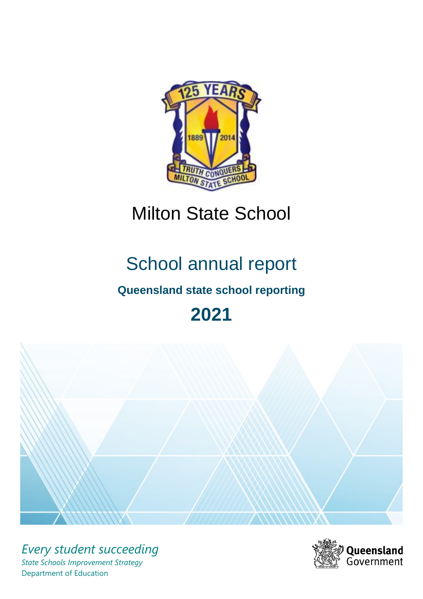

## Milton State School

# School annual report

## **Queensland state school reporting**

## **2021**



*Every student succeeding State Schools Improvement Strategy* Department of Education

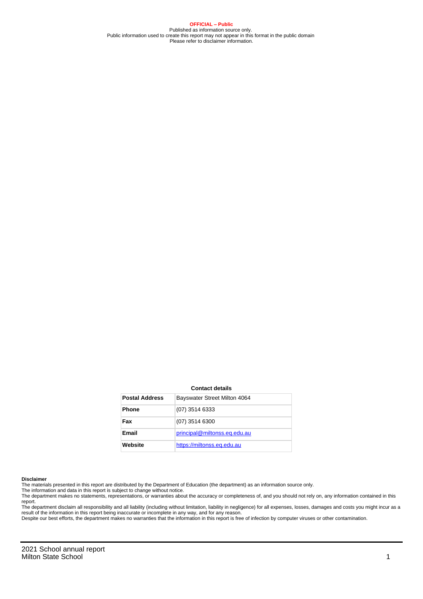**OFFICIAL – Public** Published as information source only. Public information used to create this report may not appear in this format in the public domain Please refer to disclaimer information.

#### **Contact details**

| <b>Postal Address</b> | Bayswater Street Milton 4064 |
|-----------------------|------------------------------|
| <b>Phone</b>          | $(07)$ 3514 6333             |
| Fax                   | $(07)$ 3514 6300             |
| Email                 | principal@miltonss.eq.edu.au |
| Website               | https://miltonss.eq.edu.au   |

#### **Disclaimer**

The materials presented in this report are distributed by the Department of Education (the department) as an information source only.

The information and data in this report is subject to change without notice.<br>The department makes no statements, representations, or warranties about the accuracy or completeness of, and you should not rely on, any informa report.

The department disclaim all responsibility and all liability (including without limitation, liability in negligence) for all expenses, losses, damages and costs you might incur as a result of the information in this report being inaccurate or incomplete in any way, and for any reason. Despite our best efforts, the department makes no warranties that the information in this report is free of infection by computer viruses or other contamination.

2021 School annual report Milton State School 1 and 2008 1 and 2008 1 and 2008 1 and 2008 1 and 2008 1 and 2008 1 and 2008 1 and 2008 1 and 2008 1 and 2008 1 and 2008 1 and 2008 1 and 2008 1 and 2008 1 and 2008 1 and 2008 1 and 2008 1 and 2008 1 an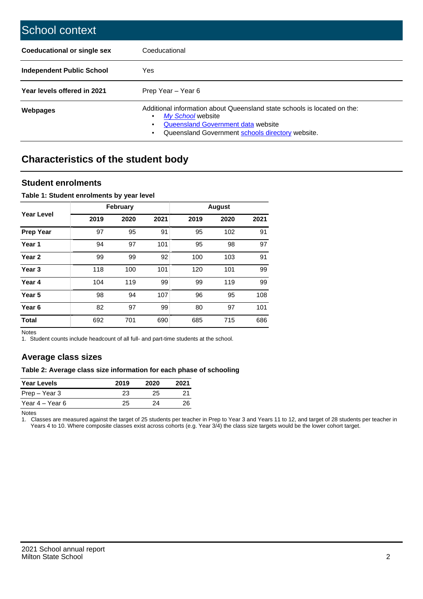| School context                   |                                                                                                                                                                                              |
|----------------------------------|----------------------------------------------------------------------------------------------------------------------------------------------------------------------------------------------|
| Coeducational or single sex      | Coeducational                                                                                                                                                                                |
| <b>Independent Public School</b> | <b>Yes</b>                                                                                                                                                                                   |
| Year levels offered in 2021      | Prep Year - Year 6                                                                                                                                                                           |
| Webpages                         | Additional information about Queensland state schools is located on the:<br>My School website<br>Queensland Government data website<br>Queensland Government schools directory website.<br>٠ |

## **Characteristics of the student body**

#### **Student enrolments**

#### **Table 1: Student enrolments by year level**

|                   |      | <b>February</b> |      |      | <b>August</b> |      |
|-------------------|------|-----------------|------|------|---------------|------|
| Year Level        | 2019 | 2020            | 2021 | 2019 | 2020          | 2021 |
| <b>Prep Year</b>  | 97   | 95              | 91   | 95   | 102           | 91   |
| Year <sub>1</sub> | 94   | 97              | 101  | 95   | 98            | 97   |
| Year 2            | 99   | 99              | 92   | 100  | 103           | 91   |
| Year <sub>3</sub> | 118  | 100             | 101  | 120  | 101           | 99   |
| Year 4            | 104  | 119             | 99   | 99   | 119           | 99   |
| Year 5            | 98   | 94              | 107  | 96   | 95            | 108  |
| Year <sub>6</sub> | 82   | 97              | 99   | 80   | 97            | 101  |
| <b>Total</b>      | 692  | 701             | 690  | 685  | 715           | 686  |

Notes

1. Student counts include headcount of all full- and part-time students at the school.

#### **Average class sizes**

#### **Table 2: Average class size information for each phase of schooling**

| <b>Year Levels</b> | 2019 | 2020 | 2021 |
|--------------------|------|------|------|
| Prep – Year 3      | 23   | 25.  |      |
| Year 4 – Year 6    | 25   | 24   | 26   |

Notes

1. Classes are measured against the target of 25 students per teacher in Prep to Year 3 and Years 11 to 12, and target of 28 students per teacher in Years 4 to 10. Where composite classes exist across cohorts (e.g. Year 3/4) the class size targets would be the lower cohort target.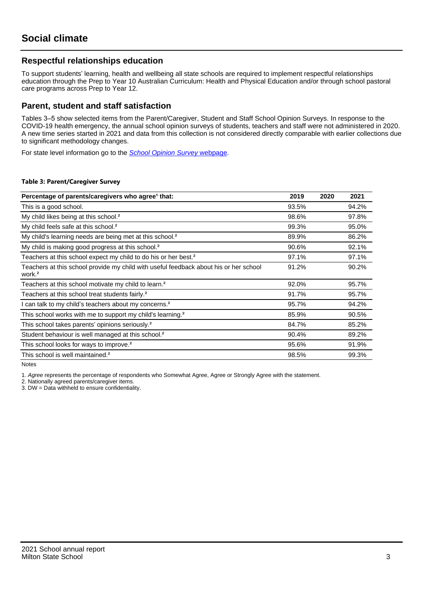#### **Respectful relationships education**

To support students' learning, health and wellbeing all state schools are required to implement respectful relationships education through the Prep to Year 10 Australian Curriculum: Health and Physical Education and/or through school pastoral care programs across Prep to Year 12.

#### **Parent, student and staff satisfaction**

Tables 3–5 show selected items from the Parent/Caregiver, Student and Staff School Opinion Surveys. In response to the COVID-19 health emergency, the annual school opinion surveys of students, teachers and staff were not administered in 2020. A new time series started in 2021 and data from this collection is not considered directly comparable with earlier collections due to significant methodology changes.

For state level information go to the **[School Opinion Survey](https://qed.qld.gov.au/publications/reports/statistics/schooling/schools/schoolopinionsurvey) webpage**.

#### **Table 3: Parent/Caregiver Survey**

| Percentage of parents/caregivers who agree <sup>1</sup> that:                                               | 2019  | 2020 | 2021  |
|-------------------------------------------------------------------------------------------------------------|-------|------|-------|
| This is a good school.                                                                                      | 93.5% |      | 94.2% |
| My child likes being at this school. <sup>2</sup>                                                           | 98.6% |      | 97.8% |
| My child feels safe at this school. <sup>2</sup>                                                            | 99.3% |      | 95.0% |
| My child's learning needs are being met at this school. <sup>2</sup>                                        | 89.9% |      | 86.2% |
| My child is making good progress at this school. <sup>2</sup>                                               | 90.6% |      | 92.1% |
| Teachers at this school expect my child to do his or her best. <sup>2</sup>                                 | 97.1% |      | 97.1% |
| Teachers at this school provide my child with useful feedback about his or her school<br>work. <sup>2</sup> | 91.2% |      | 90.2% |
| Teachers at this school motivate my child to learn. <sup>2</sup>                                            | 92.0% |      | 95.7% |
| Teachers at this school treat students fairly. <sup>2</sup>                                                 | 91.7% |      | 95.7% |
| can talk to my child's teachers about my concerns. <sup>2</sup>                                             | 95.7% |      | 94.2% |
| This school works with me to support my child's learning. <sup>2</sup>                                      | 85.9% |      | 90.5% |
| This school takes parents' opinions seriously. <sup>2</sup>                                                 | 84.7% |      | 85.2% |
| Student behaviour is well managed at this school. <sup>2</sup>                                              | 90.4% |      | 89.2% |
| This school looks for ways to improve. <sup>2</sup>                                                         | 95.6% |      | 91.9% |
| This school is well maintained. <sup>2</sup>                                                                | 98.5% |      | 99.3% |

Notes

1. Agree represents the percentage of respondents who Somewhat Agree, Agree or Strongly Agree with the statement.

2. Nationally agreed parents/caregiver items.

3. DW = Data withheld to ensure confidentiality.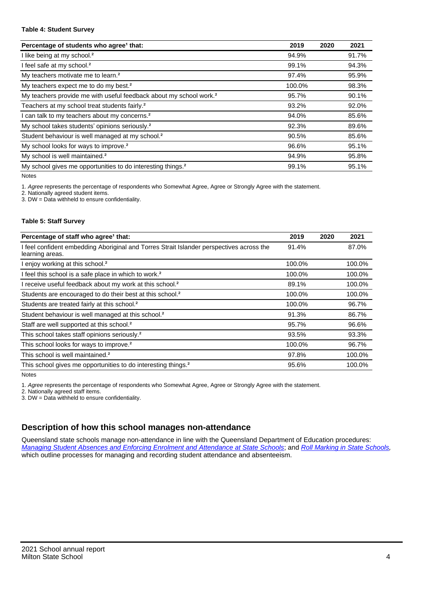#### **Table 4: Student Survey**

| Percentage of students who agree <sup>1</sup> that:                            | 2019   | 2020 | 2021  |
|--------------------------------------------------------------------------------|--------|------|-------|
| I like being at my school. <sup>2</sup>                                        | 94.9%  |      | 91.7% |
| I feel safe at my school. <sup>2</sup>                                         | 99.1%  |      | 94.3% |
| My teachers motivate me to learn. <sup>2</sup>                                 | 97.4%  |      | 95.9% |
| My teachers expect me to do my best. <sup>2</sup>                              | 100.0% |      | 98.3% |
| My teachers provide me with useful feedback about my school work. <sup>2</sup> | 95.7%  |      | 90.1% |
| Teachers at my school treat students fairly. <sup>2</sup>                      | 93.2%  |      | 92.0% |
| I can talk to my teachers about my concerns. <sup>2</sup>                      | 94.0%  |      | 85.6% |
| My school takes students' opinions seriously. <sup>2</sup>                     | 92.3%  |      | 89.6% |
| Student behaviour is well managed at my school. <sup>2</sup>                   | 90.5%  |      | 85.6% |
| My school looks for ways to improve. <sup>2</sup>                              | 96.6%  |      | 95.1% |
| My school is well maintained. <sup>2</sup>                                     | 94.9%  |      | 95.8% |
| My school gives me opportunities to do interesting things. <sup>2</sup>        | 99.1%  |      | 95.1% |

Notes

1. Agree represents the percentage of respondents who Somewhat Agree, Agree or Strongly Agree with the statement.

2. Nationally agreed student items.

3. DW = Data withheld to ensure confidentiality.

#### **Table 5: Staff Survey**

| Percentage of staff who agree <sup>1</sup> that:                                                            | 2019   | 2020 | 2021   |
|-------------------------------------------------------------------------------------------------------------|--------|------|--------|
| I feel confident embedding Aboriginal and Torres Strait Islander perspectives across the<br>learning areas. | 91.4%  |      | 87.0%  |
| I enjoy working at this school. <sup>2</sup>                                                                | 100.0% |      | 100.0% |
| I feel this school is a safe place in which to work. <sup>2</sup>                                           | 100.0% |      | 100.0% |
| I receive useful feedback about my work at this school. <sup>2</sup>                                        | 89.1%  |      | 100.0% |
| Students are encouraged to do their best at this school. <sup>2</sup>                                       | 100.0% |      | 100.0% |
| Students are treated fairly at this school. <sup>2</sup>                                                    | 100.0% |      | 96.7%  |
| Student behaviour is well managed at this school. <sup>2</sup>                                              | 91.3%  |      | 86.7%  |
| Staff are well supported at this school. <sup>2</sup>                                                       | 95.7%  |      | 96.6%  |
| This school takes staff opinions seriously. <sup>2</sup>                                                    | 93.5%  |      | 93.3%  |
| This school looks for ways to improve. <sup>2</sup>                                                         | 100.0% |      | 96.7%  |
| This school is well maintained. <sup>2</sup>                                                                | 97.8%  |      | 100.0% |
| This school gives me opportunities to do interesting things. <sup>2</sup>                                   | 95.6%  |      | 100.0% |

Notes

1. Agree represents the percentage of respondents who Somewhat Agree, Agree or Strongly Agree with the statement.

2. Nationally agreed staff items.

3. DW = Data withheld to ensure confidentiality.

### **Description of how this school manages non-attendance**

Queensland state schools manage non-attendance in line with the Queensland Department of Education procedures: [Managing Student Absences and Enforcing Enrolment and Attendance at State Schools](https://ppr.qed.qld.gov.au/pp/managing-student-absences-and-enforcing-enrolment-and-attendance-at-state-schools-procedure); and [Roll Marking in State Schools,](https://ppr.qed.qld.gov.au/pp/roll-marking-in-state-schools-procedure) which outline processes for managing and recording student attendance and absenteeism.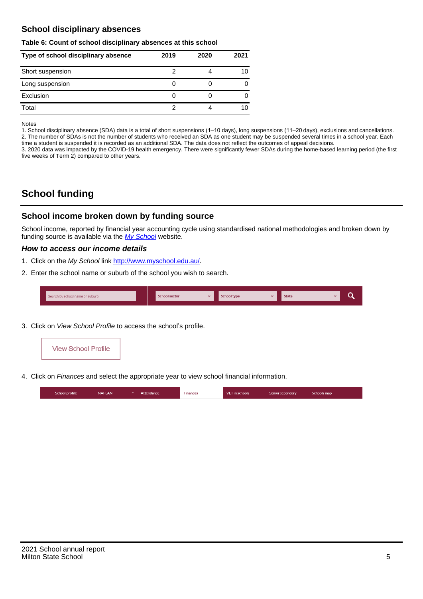#### **School disciplinary absences**

#### **Table 6: Count of school disciplinary absences at this school**

| Type of school disciplinary absence | 2019 | 2020 | 2021 |
|-------------------------------------|------|------|------|
| Short suspension                    |      |      | 10   |
| Long suspension                     |      |      |      |
| Exclusion                           | U    |      |      |
| Total                               |      |      | 10   |

Notes

1. School disciplinary absence (SDA) data is a total of short suspensions (1–10 days), long suspensions (11–20 days), exclusions and cancellations. 2. The number of SDAs is not the number of students who received an SDA as one student may be suspended several times in a school year. Each time a student is suspended it is recorded as an additional SDA. The data does not reflect the outcomes of appeal decisions.

3. 2020 data was impacted by the COVID-19 health emergency. There were significantly fewer SDAs during the home-based learning period (the first five weeks of Term 2) compared to other years.

## **School funding**

#### **School income broken down by funding source**

School income, reported by financial year accounting cycle using standardised national methodologies and broken down by funding source is available via the  $My$  School website.

#### **How to access our income details**

- 1. Click on the My School link <http://www.myschool.edu.au/>.
- 2. Enter the school name or suburb of the school you wish to search.

|  | Search by school name or suburb |  | <b>School sector</b> |  | $\sim$ and $\sim$ represents the set of $\sim$ | <b>State</b> |  |  |  |
|--|---------------------------------|--|----------------------|--|------------------------------------------------|--------------|--|--|--|
|--|---------------------------------|--|----------------------|--|------------------------------------------------|--------------|--|--|--|

3. Click on View School Profile to access the school's profile.



4. Click on Finances and select the appropriate year to view school financial information.

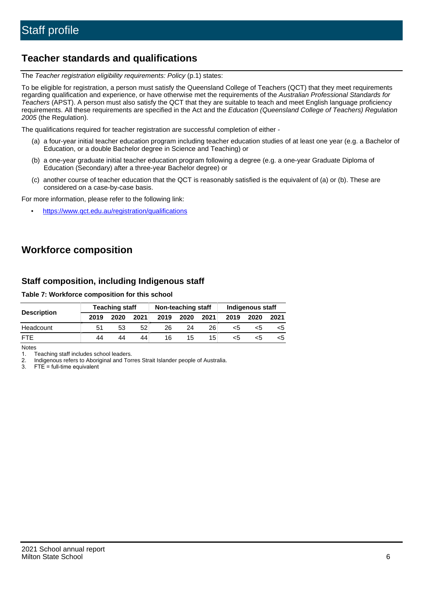### **Teacher standards and qualifications**

The Teacher registration eligibility requirements: Policy (p.1) states:

To be eligible for registration, a person must satisfy the Queensland College of Teachers (QCT) that they meet requirements regarding qualification and experience, or have otherwise met the requirements of the Australian Professional Standards for Teachers (APST). A person must also satisfy the QCT that they are suitable to teach and meet English language proficiency requirements. All these requirements are specified in the Act and the Education (Queensland College of Teachers) Regulation 2005 (the Regulation).

The qualifications required for teacher registration are successful completion of either -

- (a) a four-year initial teacher education program including teacher education studies of at least one year (e.g. a Bachelor of Education, or a double Bachelor degree in Science and Teaching) or
- (b) a one-year graduate initial teacher education program following a degree (e.g. a one-year Graduate Diploma of Education (Secondary) after a three-year Bachelor degree) or
- (c) another course of teacher education that the QCT is reasonably satisfied is the equivalent of (a) or (b). These are considered on a case-by-case basis.

For more information, please refer to the following link:

• <https://www.qct.edu.au/registration/qualifications>

## **Workforce composition**

#### **Staff composition, including Indigenous staff**

#### **Table 7: Workforce composition for this school**

|                    |      | <b>Teaching staff</b> |      |      | Non-teaching staff |                 |      | Indigenous staff |      |
|--------------------|------|-----------------------|------|------|--------------------|-----------------|------|------------------|------|
| <b>Description</b> | 2019 | 2020                  | 2021 | 2019 | 2020               | 2021            | 2019 | 2020             | 2021 |
| Headcount          | 51   | 53                    | 52   | 26   | 24                 | 26              | <5   | כ>               |      |
| <b>FTF</b>         | 44   | 44                    | 44   | 16   | 15                 | 15 <sub>1</sub> | <5   | ה>               |      |

Notes

1. Teaching staff includes school leaders.

2. Indigenous refers to Aboriginal and Torres Strait Islander people of Australia.

3. FTE = full-time equivalent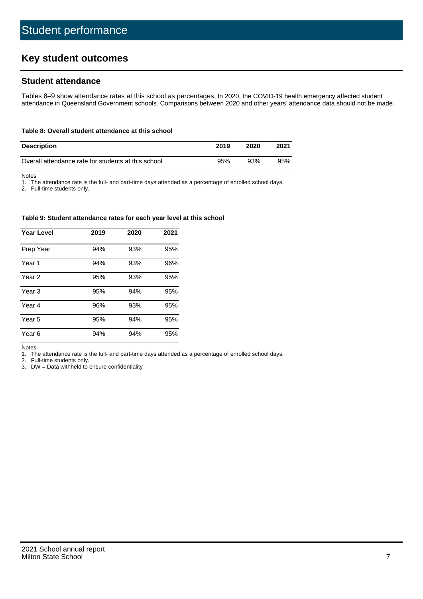## **Key student outcomes**

#### **Student attendance**

Tables 8–9 show attendance rates at this school as percentages. In 2020, the COVID-19 health emergency affected student attendance in Queensland Government schools. Comparisons between 2020 and other years' attendance data should not be made.

#### **Table 8: Overall student attendance at this school**

| <b>Description</b>                                  | 2019 | 2020 | 2021 |
|-----------------------------------------------------|------|------|------|
| Overall attendance rate for students at this school | 95%  | 93%  | 95%  |

Notes

1. The attendance rate is the full- and part-time days attended as a percentage of enrolled school days.

2. Full-time students only.

#### **Table 9: Student attendance rates for each year level at this school**

| <b>Year Level</b> | 2019 | 2020 | 2021 |
|-------------------|------|------|------|
| Prep Year         | 94%  | 93%  | 95%  |
| Year <sub>1</sub> | 94%  | 93%  | 96%  |
| Year 2            | 95%  | 93%  | 95%  |
| Year 3            | 95%  | 94%  | 95%  |
| Year 4            | 96%  | 93%  | 95%  |
| Year 5            | 95%  | 94%  | 95%  |
| Year <sub>6</sub> | 94%  | 94%  | 95%  |

Notes

1. The attendance rate is the full- and part-time days attended as a percentage of enrolled school days.

2. Full-time students only.

3. DW = Data withheld to ensure confidentiality